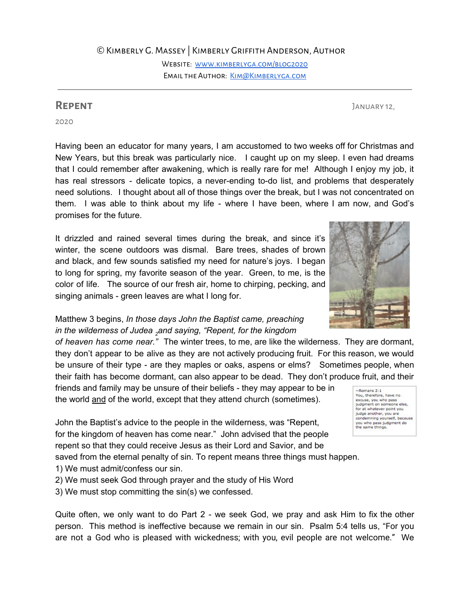©Kimberly G. Massey | Kimberly Griffith Anderson, Author

Website: [www.kimberlyga.com/blog2020](http://www.kimberlyga.com/blog2020) EMAIL THE AUTHOR: KIM@KIMBERLYGA.COM

2020

Having been an educator for many years, I am accustomed to two weeks off for Christmas and New Years, but this break was particularly nice. I caught up on my sleep. I even had dreams that I could remember after awakening, which is really rare for me! Although I enjoy my job, it has real stressors - delicate topics, a never-ending to-do list, and problems that desperately need solutions. I thought about all of those things over the break, but I was not concentrated on them. I was able to think about my life - where I have been, where I am now, and God's promises for the future.

It drizzled and rained several times during the break, and since it's winter, the scene outdoors was dismal. Bare trees, shades of brown and black, and few sounds satisfied my need for nature's joys. I began to long for spring, my favorite season of the year. Green, to me, is the color of life. The source of our fresh air, home to chirping, pecking, and singing animals - green leaves are what I long for.

## Matthew 3 begins, *In those days John the Baptist came, preaching in the wilderness of Judea <sup>2</sup>and saying, "Repent, for the kingdom*

*of heaven has come near."* The winter trees, to me, are like the wilderness. They are dormant, they don't appear to be alive as they are not actively producing fruit. For this reason, we would be unsure of their type - are they maples or oaks, aspens or elms? Sometimes people, when their faith has become dormant, can also appear to be dead. They don't produce fruit, and their

friends and family may be unsure of their beliefs - they may appear to be in the world and of the world, except that they attend church (sometimes).

John the Baptist's advice to the people in the wilderness, was "Repent, for the kingdom of heaven has come near." John advised that the people repent so that they could receive Jesus as their Lord and Savior, and be saved from the eternal penalty of sin. To repent means three things must happen.

- 1) We must admit/confess our sin.
- 2) We must seek God through prayer and the study of His Word
- 3) We must stop committing the sin(s) we confessed.

Quite often, we only want to do Part 2 - we seek God, we pray and ask Him to fix the other person. This method is ineffective because we remain in our sin. Psalm 5:4 tells us, "For you are not a God who is pleased with wickedness; with you, evil people are not welcome." We





**REPENT** JANUARY 12,